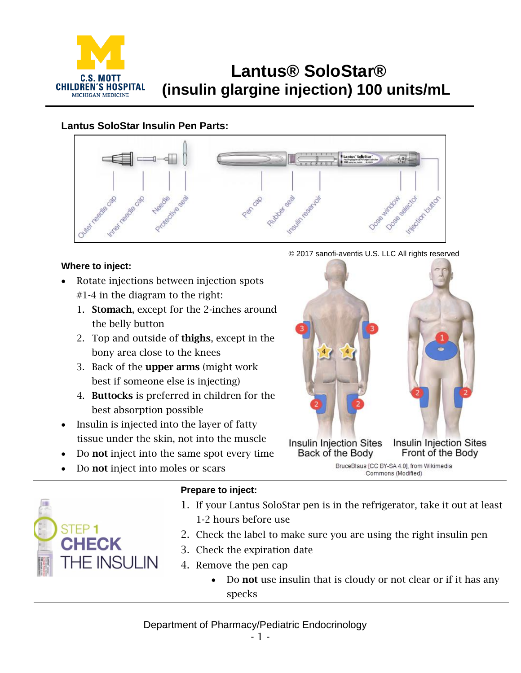

# **Lantus® SoloStar® (insulin glargine injection) 100 units/mL**

## **Lantus SoloStar Insulin Pen Parts:**



### **Where to inject:**

- Rotate injections between injection spots  $#1-4$  in the diagram to the right:
	- 1. Stomach, except for the 2-inches around the belly button
	- 2. Top and outside of thighs, except in the bony area close to the knees
	- 3. Back of the upper arms (might work best if someone else is injecting)
	- 4. Buttocks is preferred in children for the best absorption possible
- Insulin is injected into the layer of fatty tissue under the skin, not into the muscle
- Do not inject into the same spot every time
- Do not inject into moles or scars





# 1. If your Lantus SoloStar pen is in the refrigerator, take it out at least 1-2 hours before use

- 2. Check the label to make sure you are using the right insulin pen
- 3. Check the expiration date
- 4. Remove the pen cap

**Prepare to inject:**

Do not use insulin that is cloudy or not clear or if it has any specks

## Department of Pharmacy/Pediatric Endocrinology

© 2017 sanofi-aventis U.S. LLC All rights reserved

Interior button

Dose<sub>Seabort</sub>



Commons (Modified)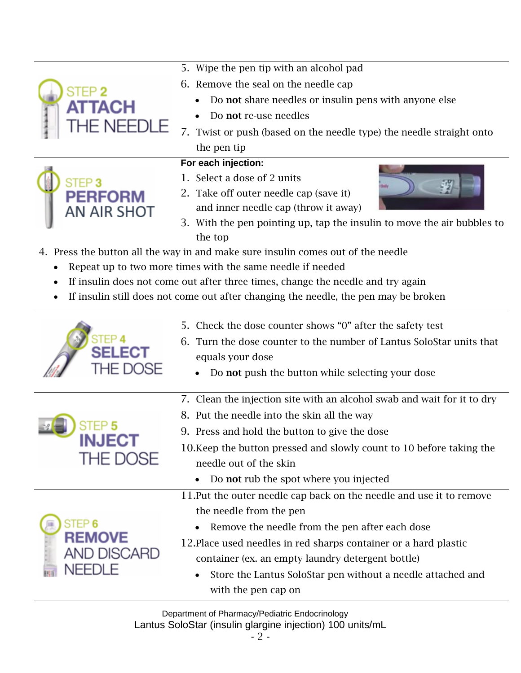|                                                 | 5. Wipe the pen tip with an alcohol pad                                             |
|-------------------------------------------------|-------------------------------------------------------------------------------------|
| TEP 2<br><b>TACH</b><br><b><i>THE NEEDL</i></b> | 6. Remove the seal on the needle cap                                                |
|                                                 | Do not share needles or insulin pens with anyone else                               |
|                                                 | Do not re-use needles                                                               |
|                                                 | 7.<br>Twist or push (based on the needle type) the needle straight onto             |
|                                                 | the pen tip                                                                         |
|                                                 | For each injection:                                                                 |
| <b>PERFORM</b>                                  | 1. Select a dose of 2 units                                                         |
|                                                 | 2. Take off outer needle cap (save it)                                              |
| <b>AN AIR SHOT</b>                              | and inner needle cap (throw it away)                                                |
|                                                 | 3. With the pen pointing up, tap the insulin to move the air bubbles to             |
|                                                 | the top                                                                             |
|                                                 | 4. Press the button all the way in and make sure insulin comes out of the needle    |
| ٠                                               | Repeat up to two more times with the same needle if needed                          |
|                                                 | If insulin does not come out after three times, change the needle and try again     |
|                                                 | If insulin still does not come out after changing the needle, the pen may be broken |
|                                                 | 5. Check the dose counter shows "0" after the safety test                           |
|                                                 | Turn the dose counter to the number of Lantus SoloStar units that<br>6.             |
|                                                 | equals your dose                                                                    |
|                                                 | Do not push the button while selecting your dose                                    |
|                                                 |                                                                                     |
| <b>INJECT</b>                                   | 7. Clean the injection site with an alcohol swab and wait for it to dry             |
|                                                 | 8. Put the needle into the skin all the way                                         |
|                                                 | 9. Press and hold the button to give the dose                                       |
|                                                 | 10. Keep the button pressed and slowly count to 10 before taking the                |
| <b>THE DOSE</b>                                 | needle out of the skin                                                              |
|                                                 | Do not rub the spot where you injected                                              |
|                                                 | 11. Put the outer needle cap back on the needle and use it to remove                |
|                                                 | the needle from the pen                                                             |
| STEP 6                                          | Remove the needle from the pen after each dose                                      |
| <b>REMOVE</b>                                   | 12. Place used needles in red sharps container or a hard plastic                    |
| <b>AND DISCARD</b>                              | container (ex. an empty laundry detergent bottle)                                   |
| NEEDLE                                          | Store the Lantus SoloStar pen without a needle attached and                         |
|                                                 | with the pen cap on                                                                 |

Department of Pharmacy/Pediatric Endocrinology Lantus SoloStar (insulin glargine injection) 100 units/mL